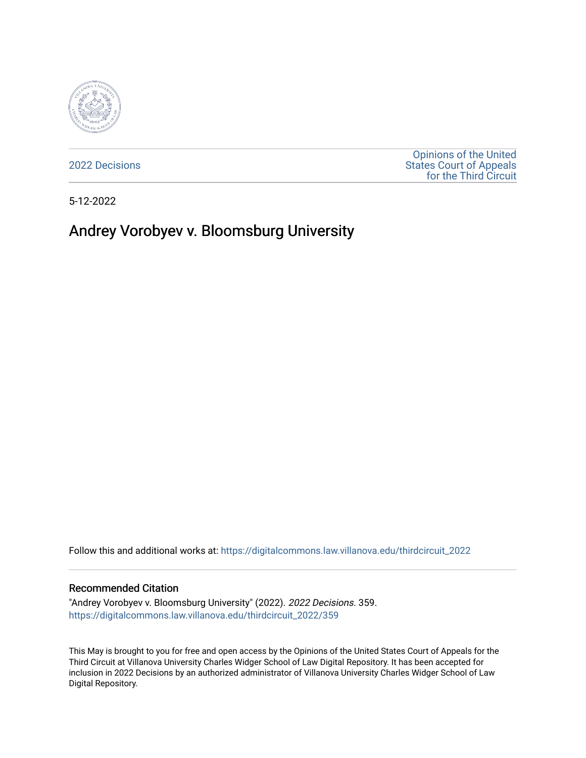

[2022 Decisions](https://digitalcommons.law.villanova.edu/thirdcircuit_2022)

[Opinions of the United](https://digitalcommons.law.villanova.edu/thirdcircuit)  [States Court of Appeals](https://digitalcommons.law.villanova.edu/thirdcircuit)  [for the Third Circuit](https://digitalcommons.law.villanova.edu/thirdcircuit) 

5-12-2022

# Andrey Vorobyev v. Bloomsburg University

Follow this and additional works at: [https://digitalcommons.law.villanova.edu/thirdcircuit\\_2022](https://digitalcommons.law.villanova.edu/thirdcircuit_2022?utm_source=digitalcommons.law.villanova.edu%2Fthirdcircuit_2022%2F359&utm_medium=PDF&utm_campaign=PDFCoverPages) 

#### Recommended Citation

"Andrey Vorobyev v. Bloomsburg University" (2022). 2022 Decisions. 359. [https://digitalcommons.law.villanova.edu/thirdcircuit\\_2022/359](https://digitalcommons.law.villanova.edu/thirdcircuit_2022/359?utm_source=digitalcommons.law.villanova.edu%2Fthirdcircuit_2022%2F359&utm_medium=PDF&utm_campaign=PDFCoverPages)

This May is brought to you for free and open access by the Opinions of the United States Court of Appeals for the Third Circuit at Villanova University Charles Widger School of Law Digital Repository. It has been accepted for inclusion in 2022 Decisions by an authorized administrator of Villanova University Charles Widger School of Law Digital Repository.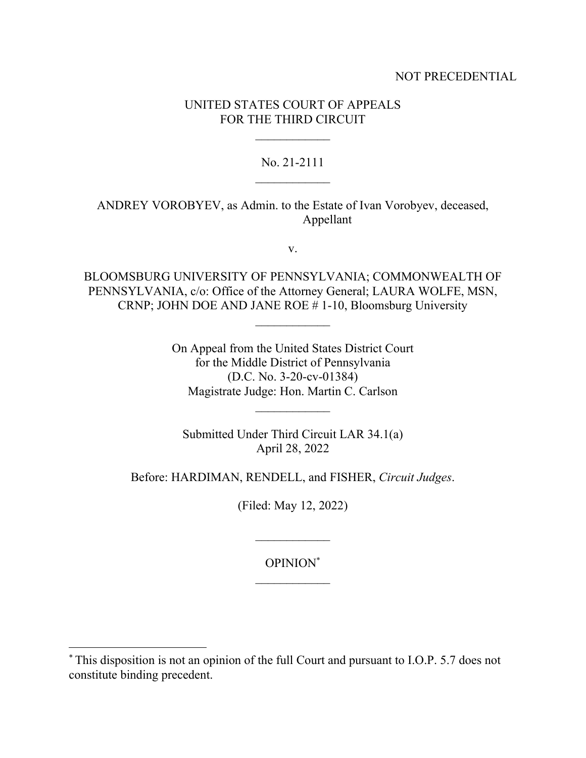## NOT PRECEDENTIAL

# UNITED STATES COURT OF APPEALS FOR THE THIRD CIRCUIT

### No. 21-2111

ANDREY VOROBYEV, as Admin. to the Estate of Ivan Vorobyev, deceased, Appellant

v.

BLOOMSBURG UNIVERSITY OF PENNSYLVANIA; COMMONWEALTH OF PENNSYLVANIA, c/o: Office of the Attorney General; LAURA WOLFE, MSN, CRNP; JOHN DOE AND JANE ROE # 1-10, Bloomsburg University

> On Appeal from the United States District Court for the Middle District of Pennsylvania (D.C. No. 3-20-cv-01384) Magistrate Judge: Hon. Martin C. Carlson

Submitted Under Third Circuit LAR 34.1(a) April 28, 2022

Before: HARDIMAN, RENDELL, and FISHER, *Circuit Judges*.

(Filed: May 12, 2022)

# OPINION\*

<sup>\*</sup> This disposition is not an opinion of the full Court and pursuant to I.O.P. 5.7 does not constitute binding precedent.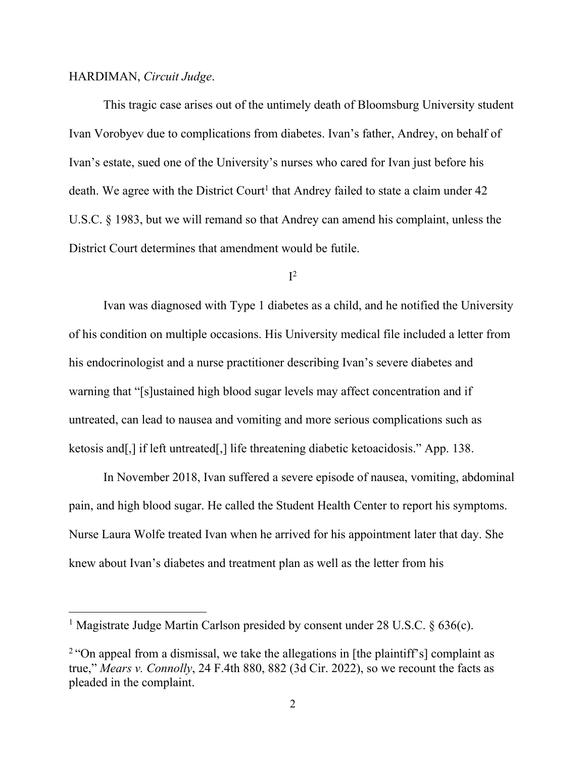#### HARDIMAN, *Circuit Judge*.

This tragic case arises out of the untimely death of Bloomsburg University student Ivan Vorobyev due to complications from diabetes. Ivan's father, Andrey, on behalf of Ivan's estate, sued one of the University's nurses who cared for Ivan just before his death. We agree with the District Court<sup>1</sup> that Andrey failed to state a claim under 42 U.S.C. § 1983, but we will remand so that Andrey can amend his complaint, unless the District Court determines that amendment would be futile.

# $I^2$

Ivan was diagnosed with Type 1 diabetes as a child, and he notified the University of his condition on multiple occasions. His University medical file included a letter from his endocrinologist and a nurse practitioner describing Ivan's severe diabetes and warning that "[s]ustained high blood sugar levels may affect concentration and if untreated, can lead to nausea and vomiting and more serious complications such as ketosis and[,] if left untreated[,] life threatening diabetic ketoacidosis." App. 138.

In November 2018, Ivan suffered a severe episode of nausea, vomiting, abdominal pain, and high blood sugar. He called the Student Health Center to report his symptoms. Nurse Laura Wolfe treated Ivan when he arrived for his appointment later that day. She knew about Ivan's diabetes and treatment plan as well as the letter from his

<sup>&</sup>lt;sup>1</sup> Magistrate Judge Martin Carlson presided by consent under 28 U.S.C.  $\S$  636(c).

<sup>&</sup>lt;sup>2</sup> "On appeal from a dismissal, we take the allegations in [the plaintiff's] complaint as true," *Mears v. Connolly*, 24 F.4th 880, 882 (3d Cir. 2022), so we recount the facts as pleaded in the complaint.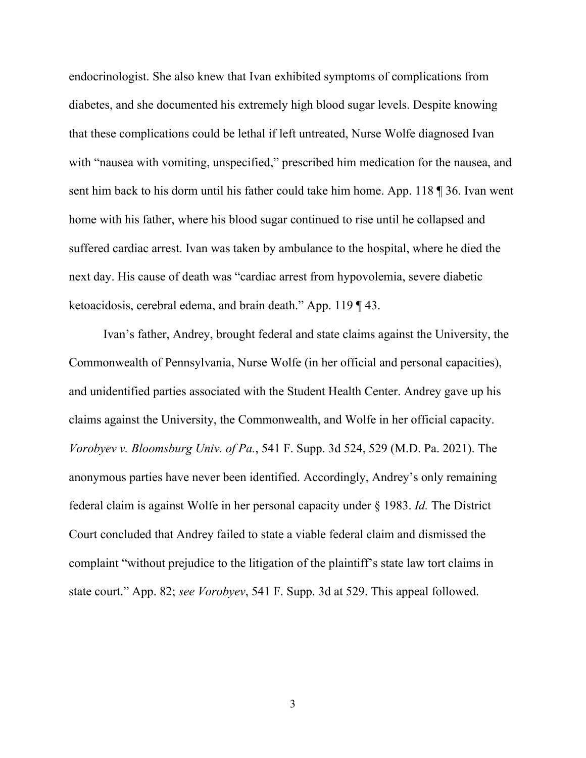endocrinologist. She also knew that Ivan exhibited symptoms of complications from diabetes, and she documented his extremely high blood sugar levels. Despite knowing that these complications could be lethal if left untreated, Nurse Wolfe diagnosed Ivan with "nausea with vomiting, unspecified," prescribed him medication for the nausea, and sent him back to his dorm until his father could take him home. App. 118 ¶ 36. Ivan went home with his father, where his blood sugar continued to rise until he collapsed and suffered cardiac arrest. Ivan was taken by ambulance to the hospital, where he died the next day. His cause of death was "cardiac arrest from hypovolemia, severe diabetic ketoacidosis, cerebral edema, and brain death." App. 119 ¶ 43.

Ivan's father, Andrey, brought federal and state claims against the University, the Commonwealth of Pennsylvania, Nurse Wolfe (in her official and personal capacities), and unidentified parties associated with the Student Health Center. Andrey gave up his claims against the University, the Commonwealth, and Wolfe in her official capacity. *Vorobyev v. Bloomsburg Univ. of Pa.*, 541 F. Supp. 3d 524, 529 (M.D. Pa. 2021). The anonymous parties have never been identified. Accordingly, Andrey's only remaining federal claim is against Wolfe in her personal capacity under § 1983. *Id.* The District Court concluded that Andrey failed to state a viable federal claim and dismissed the complaint "without prejudice to the litigation of the plaintiff's state law tort claims in state court." App. 82; *see Vorobyev*, 541 F. Supp. 3d at 529. This appeal followed.

3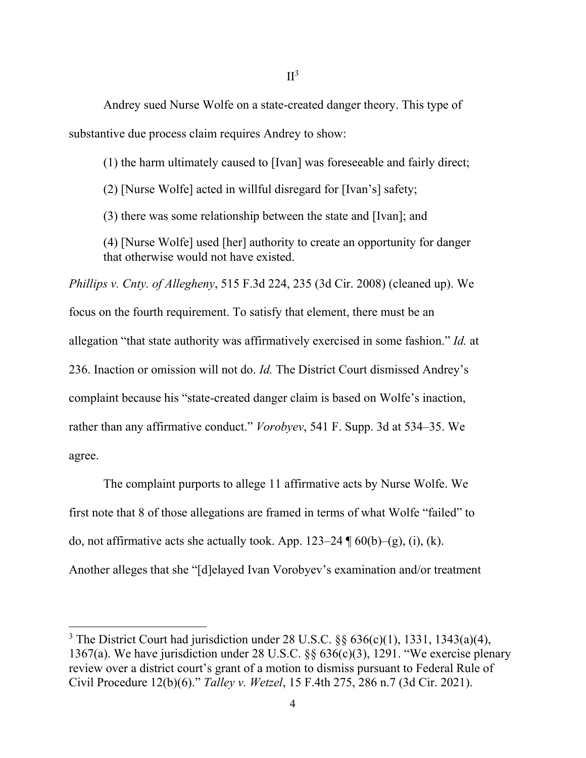Andrey sued Nurse Wolfe on a state-created danger theory. This type of substantive due process claim requires Andrey to show:

(1) the harm ultimately caused to [Ivan] was foreseeable and fairly direct;

(2) [Nurse Wolfe] acted in willful disregard for [Ivan's] safety;

(3) there was some relationship between the state and [Ivan]; and

(4) [Nurse Wolfe] used [her] authority to create an opportunity for danger that otherwise would not have existed.

*Phillips v. Cnty. of Allegheny*, 515 F.3d 224, 235 (3d Cir. 2008) (cleaned up). We focus on the fourth requirement. To satisfy that element, there must be an allegation "that state authority was affirmatively exercised in some fashion." *Id.* at 236. Inaction or omission will not do. *Id.* The District Court dismissed Andrey's complaint because his "state-created danger claim is based on Wolfe's inaction, rather than any affirmative conduct." *Vorobyev*, 541 F. Supp. 3d at 534–35. We agree.

The complaint purports to allege 11 affirmative acts by Nurse Wolfe. We first note that 8 of those allegations are framed in terms of what Wolfe "failed" to do, not affirmative acts she actually took. App.  $123-24 \text{ } \text{\textdegree{I}}60(b)-(g)$ , (i), (k). Another alleges that she "[d]elayed Ivan Vorobyev's examination and/or treatment

<sup>&</sup>lt;sup>3</sup> The District Court had jurisdiction under 28 U.S.C.  $\S\S 636(c)(1)$ , 1331, 1343(a)(4), 1367(a). We have jurisdiction under 28 U.S.C. §§ 636(c)(3), 1291. "We exercise plenary review over a district court's grant of a motion to dismiss pursuant to Federal Rule of Civil Procedure 12(b)(6)." *Talley v. Wetzel*, 15 F.4th 275, 286 n.7 (3d Cir. 2021).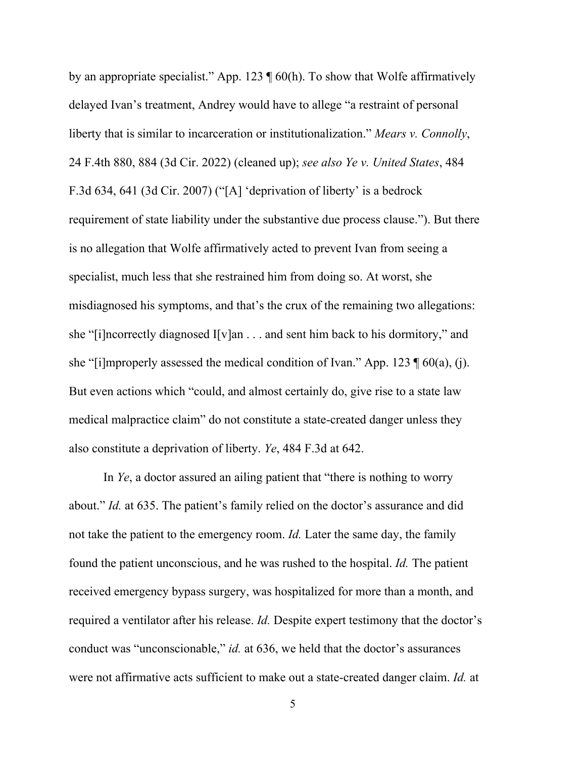by an appropriate specialist." App. 123  $\P$  60(h). To show that Wolfe affirmatively delayed Ivan's treatment, Andrey would have to allege "a restraint of personal liberty that is similar to incarceration or institutionalization." *Mears v. Connolly*, 24 F.4th 880, 884 (3d Cir. 2022) (cleaned up); *see also Ye v. United States*, 484 F.3d 634, 641 (3d Cir. 2007) ("[A] 'deprivation of liberty' is a bedrock requirement of state liability under the substantive due process clause."). But there is no allegation that Wolfe affirmatively acted to prevent Ivan from seeing a specialist, much less that she restrained him from doing so. At worst, she misdiagnosed his symptoms, and that's the crux of the remaining two allegations: she "[i]ncorrectly diagnosed I[v]an . . . and sent him back to his dormitory," and she "[i]mproperly assessed the medical condition of Ivan." App. 123  $\P$  60(a), (j). But even actions which "could, and almost certainly do, give rise to a state law medical malpractice claim" do not constitute a state-created danger unless they also constitute a deprivation of liberty. *Ye*, 484 F.3d at 642.

In *Ye*, a doctor assured an ailing patient that "there is nothing to worry about." *Id.* at 635. The patient's family relied on the doctor's assurance and did not take the patient to the emergency room. *Id.* Later the same day, the family found the patient unconscious, and he was rushed to the hospital. *Id.* The patient received emergency bypass surgery, was hospitalized for more than a month, and required a ventilator after his release. *Id.* Despite expert testimony that the doctor's conduct was "unconscionable," *id.* at 636, we held that the doctor's assurances were not affirmative acts sufficient to make out a state-created danger claim. *Id.* at

5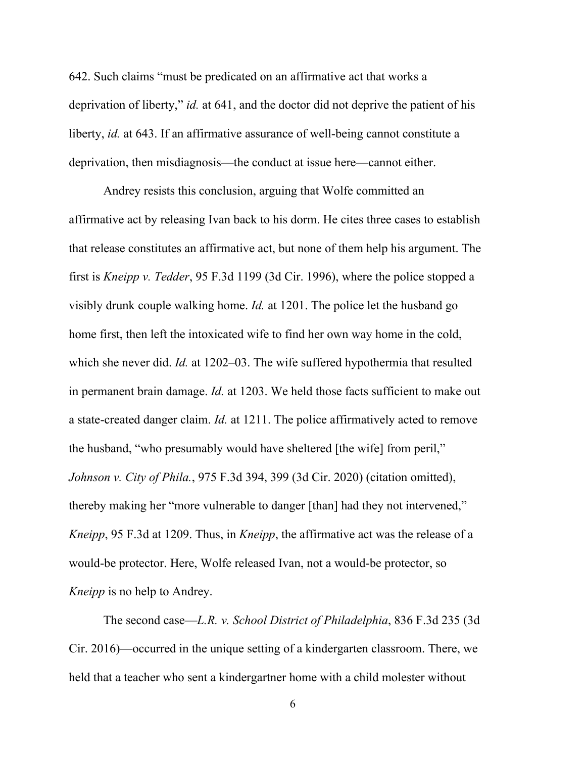642. Such claims "must be predicated on an affirmative act that works a deprivation of liberty," *id.* at 641, and the doctor did not deprive the patient of his liberty, *id.* at 643. If an affirmative assurance of well-being cannot constitute a deprivation, then misdiagnosis—the conduct at issue here—cannot either.

Andrey resists this conclusion, arguing that Wolfe committed an affirmative act by releasing Ivan back to his dorm. He cites three cases to establish that release constitutes an affirmative act, but none of them help his argument. The first is *Kneipp v. Tedder*, 95 F.3d 1199 (3d Cir. 1996), where the police stopped a visibly drunk couple walking home. *Id.* at 1201. The police let the husband go home first, then left the intoxicated wife to find her own way home in the cold, which she never did. *Id.* at 1202–03. The wife suffered hypothermia that resulted in permanent brain damage. *Id.* at 1203. We held those facts sufficient to make out a state-created danger claim. *Id.* at 1211. The police affirmatively acted to remove the husband, "who presumably would have sheltered [the wife] from peril," *Johnson v. City of Phila.*, 975 F.3d 394, 399 (3d Cir. 2020) (citation omitted), thereby making her "more vulnerable to danger [than] had they not intervened," *Kneipp*, 95 F.3d at 1209. Thus, in *Kneipp*, the affirmative act was the release of a would-be protector. Here, Wolfe released Ivan, not a would-be protector, so *Kneipp* is no help to Andrey.

The second case—*L.R. v. School District of Philadelphia*, 836 F.3d 235 (3d Cir. 2016)—occurred in the unique setting of a kindergarten classroom. There, we held that a teacher who sent a kindergartner home with a child molester without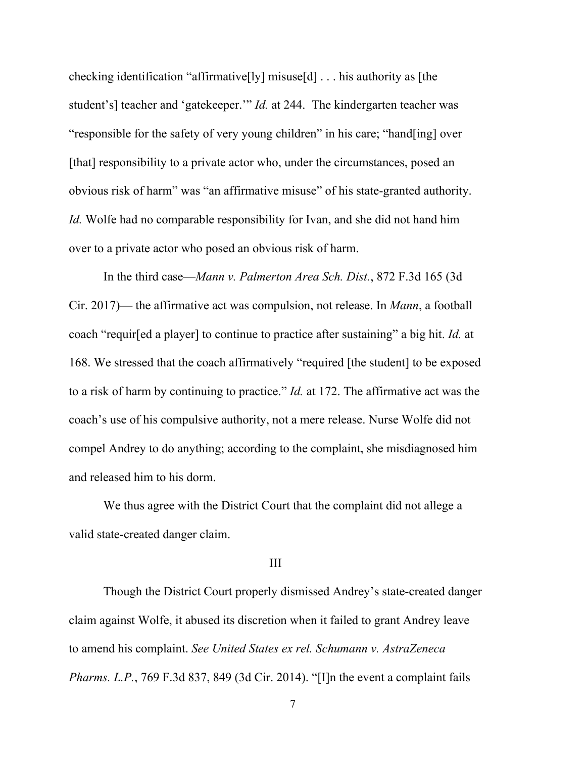checking identification "affirmative[ly] misuse[d] . . . his authority as [the student's] teacher and 'gatekeeper.'" *Id.* at 244. The kindergarten teacher was "responsible for the safety of very young children" in his care; "hand[ing] over [that] responsibility to a private actor who, under the circumstances, posed an obvious risk of harm" was "an affirmative misuse" of his state-granted authority. *Id.* Wolfe had no comparable responsibility for Ivan, and she did not hand him over to a private actor who posed an obvious risk of harm.

In the third case—*Mann v. Palmerton Area Sch. Dist.*, 872 F.3d 165 (3d Cir. 2017)— the affirmative act was compulsion, not release. In *Mann*, a football coach "requir[ed a player] to continue to practice after sustaining" a big hit. *Id.* at 168. We stressed that the coach affirmatively "required [the student] to be exposed to a risk of harm by continuing to practice." *Id.* at 172. The affirmative act was the coach's use of his compulsive authority, not a mere release. Nurse Wolfe did not compel Andrey to do anything; according to the complaint, she misdiagnosed him and released him to his dorm.

We thus agree with the District Court that the complaint did not allege a valid state-created danger claim.

#### III

Though the District Court properly dismissed Andrey's state-created danger claim against Wolfe, it abused its discretion when it failed to grant Andrey leave to amend his complaint. *See United States ex rel. Schumann v. AstraZeneca Pharms. L.P.*, 769 F.3d 837, 849 (3d Cir. 2014). "[I]n the event a complaint fails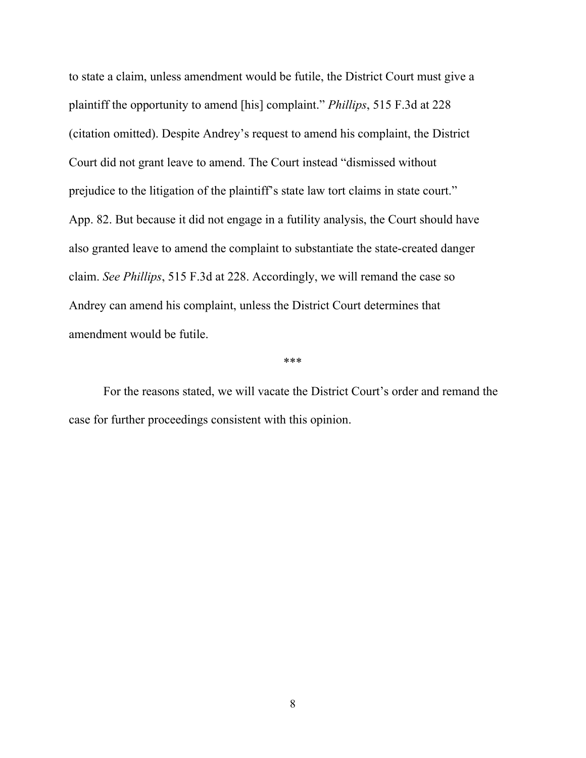to state a claim, unless amendment would be futile, the District Court must give a plaintiff the opportunity to amend [his] complaint." *Phillips*, 515 F.3d at 228 (citation omitted). Despite Andrey's request to amend his complaint, the District Court did not grant leave to amend. The Court instead "dismissed without prejudice to the litigation of the plaintiff's state law tort claims in state court." App. 82. But because it did not engage in a futility analysis, the Court should have also granted leave to amend the complaint to substantiate the state-created danger claim. *See Phillips*, 515 F.3d at 228. Accordingly, we will remand the case so Andrey can amend his complaint, unless the District Court determines that amendment would be futile.

\*\*\*

For the reasons stated, we will vacate the District Court's order and remand the case for further proceedings consistent with this opinion.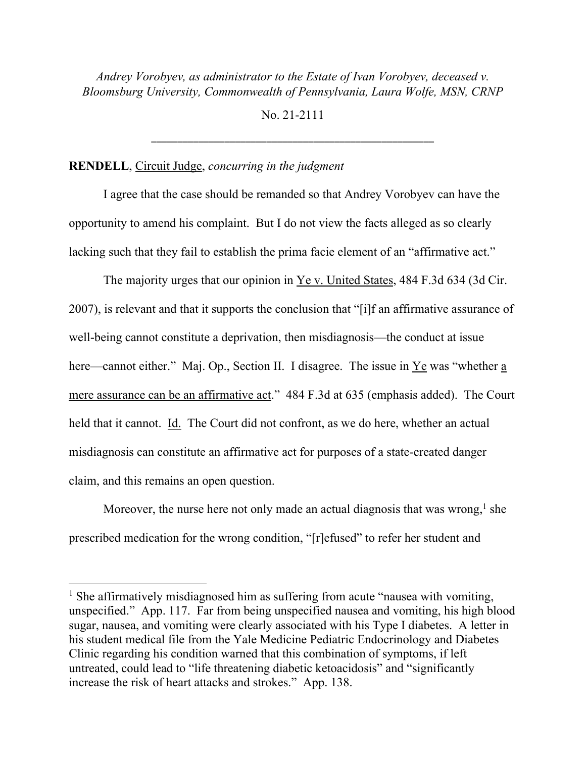*Andrey Vorobyev, as administrator to the Estate of Ivan Vorobyev, deceased v. Bloomsburg University, Commonwealth of Pennsylvania, Laura Wolfe, MSN, CRNP*

No. 21-2111

\_\_\_\_\_\_\_\_\_\_\_\_\_\_\_\_\_\_\_\_\_\_\_\_\_\_\_\_\_\_\_\_\_\_\_\_\_\_\_\_\_\_\_\_\_\_\_\_\_\_\_\_\_\_

## **RENDELL**, Circuit Judge, *concurring in the judgment*

I agree that the case should be remanded so that Andrey Vorobyev can have the opportunity to amend his complaint. But I do not view the facts alleged as so clearly lacking such that they fail to establish the prima facie element of an "affirmative act."

The majority urges that our opinion in  $Ye v. United States, 484 F.3d 634 (3d Cir.$ </u> 2007), is relevant and that it supports the conclusion that "[i]f an affirmative assurance of well-being cannot constitute a deprivation, then misdiagnosis—the conduct at issue here—cannot either." Maj. Op., Section II. I disagree. The issue in  $Ye$  was "whether a</u> mere assurance can be an affirmative act." 484 F.3d at 635 (emphasis added). The Court held that it cannot. Id. The Court did not confront, as we do here, whether an actual misdiagnosis can constitute an affirmative act for purposes of a state-created danger claim, and this remains an open question.

Moreover, the nurse here not only made an actual diagnosis that was wrong,  $^1$  she prescribed medication for the wrong condition, "[r]efused" to refer her student and

<sup>&</sup>lt;sup>1</sup> She affirmatively misdiagnosed him as suffering from acute "nausea with vomiting, unspecified." App. 117. Far from being unspecified nausea and vomiting, his high blood sugar, nausea, and vomiting were clearly associated with his Type I diabetes. A letter in his student medical file from the Yale Medicine Pediatric Endocrinology and Diabetes Clinic regarding his condition warned that this combination of symptoms, if left untreated, could lead to "life threatening diabetic ketoacidosis" and "significantly increase the risk of heart attacks and strokes." App. 138.